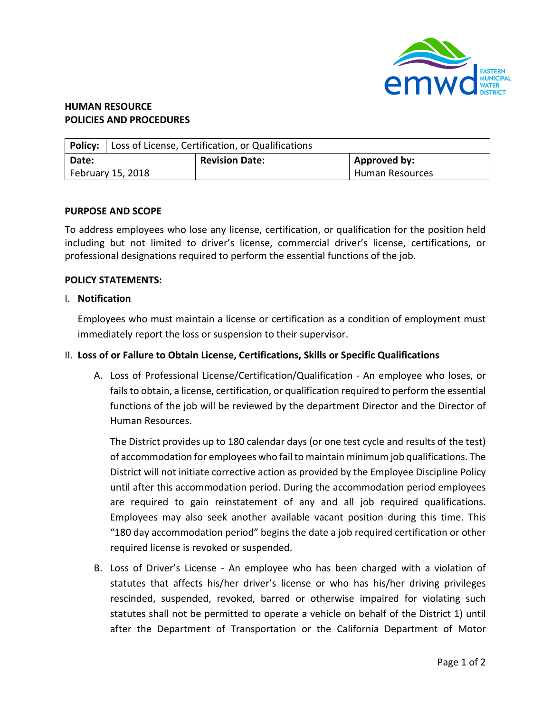

# **HUMAN RESOURCE POLICIES AND PROCEDURES**

|                   | Policy: Loss of License, Certification, or Qualifications |                       |                 |
|-------------------|-----------------------------------------------------------|-----------------------|-----------------|
| Date:             |                                                           | <b>Revision Date:</b> | Approved by:    |
| February 15, 2018 |                                                           |                       | Human Resources |

### **PURPOSE AND SCOPE**

To address employees who lose any license, certification, or qualification for the position held including but not limited to driver's license, commercial driver's license, certifications, or professional designations required to perform the essential functions of the job.

#### **POLICY STATEMENTS:**

#### I. **Notification**

Employees who must maintain a license or certification as a condition of employment must immediately report the loss or suspension to their supervisor.

## II. **Loss of or Failure to Obtain License, Certifications, Skills or Specific Qualifications**

A. Loss of Professional License/Certification/Qualification - An employee who loses, or fails to obtain, a license, certification, or qualification required to perform the essential functions of the job will be reviewed by the department Director and the Director of Human Resources.

The District provides up to 180 calendar days (or one test cycle and results of the test) of accommodation for employees who fail to maintain minimum job qualifications. The District will not initiate corrective action as provided by the Employee Discipline Policy until after this accommodation period. During the accommodation period employees are required to gain reinstatement of any and all job required qualifications. Employees may also seek another available vacant position during this time. This "180 day accommodation period" begins the date a job required certification or other required license is revoked or suspended.

B. Loss of Driver's License - An employee who has been charged with a violation of statutes that affects his/her driver's license or who has his/her driving privileges rescinded, suspended, revoked, barred or otherwise impaired for violating such statutes shall not be permitted to operate a vehicle on behalf of the District 1) until after the Department of Transportation or the California Department of Motor